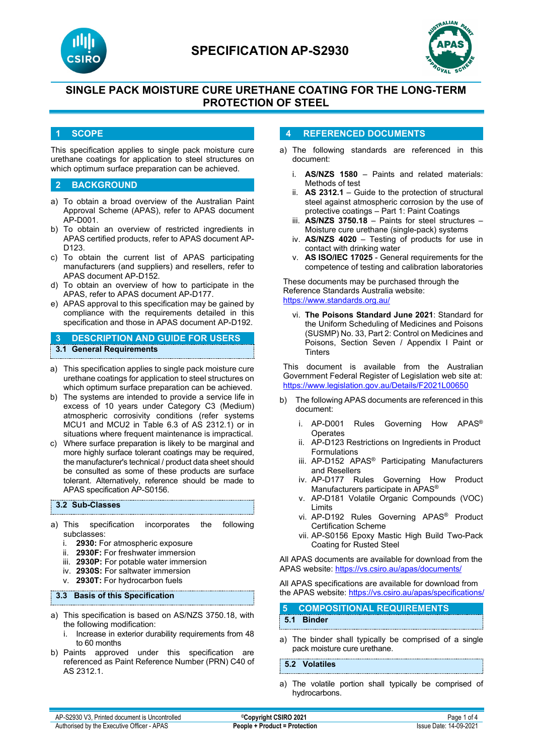



# **SINGLE PACK MOISTURE CURE URETHANE COATING FOR THE LONG-TERM PROTECTION OF STEEL**

#### **1 SCOPE**

This specification applies to single pack moisture cure urethane coatings for application to steel structures on which optimum surface preparation can be achieved.

#### **2 BACKGROUND**

- a) To obtain a broad overview of the Australian Paint Approval Scheme (APAS), refer to APAS document AP-D001.
- b) To obtain an overview of restricted ingredients in APAS certified products, refer to APAS document AP-D123.
- c) To obtain the current list of APAS participating manufacturers (and suppliers) and resellers, refer to APAS document AP-D152.
- d) To obtain an overview of how to participate in the APAS, refer to APAS document AP-D177.
- e) APAS approval to this specification may be gained by compliance with the requirements detailed in this specification and those in APAS document AP-D192.

### **3 DESCRIPTION AND GUIDE FOR USERS 3.1 General Requirements**

- a) This specification applies to single pack moisture cure urethane coatings for application to steel structures on which optimum surface preparation can be achieved.
- b) The systems are intended to provide a service life in excess of 10 years under Category C3 (Medium) atmospheric corrosivity conditions (refer systems MCU1 and MCU2 in Table 6.3 of AS 2312.1) or in situations where frequent maintenance is impractical.
- c) Where surface preparation is likely to be marginal and more highly surface tolerant coatings may be required, the manufacturer's technical / product data sheet should be consulted as some of these products are surface tolerant. Alternatively, reference should be made to APAS specification AP-S0156.

#### **3.2 Sub-Classes**

- a) This specification incorporates the following subclasses:
	- i. **2930:** For atmospheric exposure
	- ii. **2930F:** For freshwater immersion
	- iii. **2930P:** For potable water immersion
	- iv. **2930S:** For saltwater immersion
	- v. **2930T:** For hydrocarbon fuels

#### **3.3 Basis of this Specification**

- a) This specification is based on AS/NZS 3750.18, with the following modification:
	- i. Increase in exterior durability requirements from 48 to 60 months
- b) Paints approved under this specification are referenced as Paint Reference Number (PRN) C40 of AS 2312.1.

#### **4 REFERENCED DOCUMENTS**

- a) The following standards are referenced in this document:
	- i. **AS/NZS 1580** Paints and related materials: Methods of test
	- ii. **AS 2312.1** Guide to the protection of structural steel against atmospheric corrosion by the use of protective coatings – Part 1: Paint Coatings
	- iii. **AS/NZS 3750.18** Paints for steel structures Moisture cure urethane (single-pack) systems
	- iv. **AS/NZS 4020** Testing of products for use in contact with drinking water
	- v. **AS ISO/IEC 17025**  General requirements for the competence of testing and calibration laboratories

These documents may be purchased through the Reference Standards Australia website: <https://www.standards.org.au/>

vi. **The Poisons Standard June 2021**: Standard for the Uniform Scheduling of Medicines and Poisons (SUSMP) No. 33, Part 2: Control on Medicines and Poisons, Section Seven / Appendix I Paint or **Tinters** 

This document is available from the Australian Government Federal Register of Legislation web site at: <https://www.legislation.gov.au/Details/F2021L00650>

- b) The following APAS documents are referenced in this document:
	- i. AP-D001 Rules Governing How APAS® **Operates**
	- ii. AP-D123 Restrictions on Ingredients in Product Formulations
	- iii. AP-D152 APAS<sup>®</sup> Participating Manufacturers and Resellers
	- iv. AP-D177 Rules Governing How Product Manufacturers participate in APAS®
	- v. AP-D181 Volatile Organic Compounds (VOC) Limits
	- vi. AP-D192 Rules Governing APAS® Product Certification Scheme
	- vii. AP-S0156 Epoxy Mastic High Build Two-Pack Coating for Rusted Steel

All APAS documents are available for download from the APAS website: <https://vs.csiro.au/apas/documents/>

All APAS specifications are available for download from the APAS website: <https://vs.csiro.au/apas/specifications/>

### **5 COMPOSITIONAL REQUIREMENTS**

**5.1 Binder**

a) The binder shall typically be comprised of a single pack moisture cure urethane.

#### **5.2 Volatiles**

a) The volatile portion shall typically be comprised of hydrocarbons.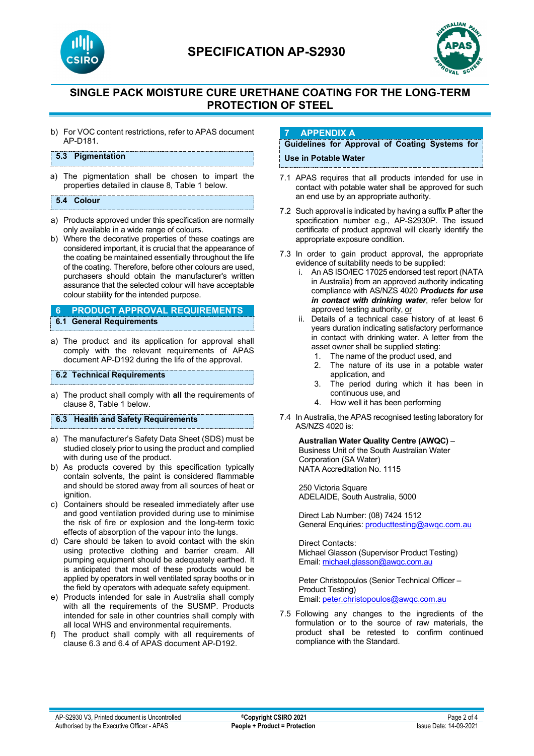

# **SPECIFICATION AP-S2930**



## **SINGLE PACK MOISTURE CURE URETHANE COATING FOR THE LONG-TERM PROTECTION OF STEEL**

b) For VOC content restrictions, refer to APAS document AP-D181.

#### **5.3 Pigmentation**

a) The pigmentation shall be chosen to impart the properties detailed in clause 8, Table 1 below.

#### **5.4 Colour**

- a) Products approved under this specification are normally only available in a wide range of colours.
- b) Where the decorative properties of these coatings are considered important, it is crucial that the appearance of the coating be maintained essentially throughout the life of the coating. Therefore, before other colours are used, purchasers should obtain the manufacturer's written assurance that the selected colour will have acceptable colour stability for the intended purpose.

# **6 PRODUCT APPROVAL REQUIREMENTS**

- **6.1 General Requirements**
- a) The product and its application for approval shall comply with the relevant requirements of APAS document AP-D192 during the life of the approval.

#### **6.2 Technical Requirements**

a) The product shall comply with **all** the requirements of clause 8, Table 1 below.

**6.3 Health and Safety Requirements**

- a) The manufacturer's Safety Data Sheet (SDS) must be studied closely prior to using the product and complied with during use of the product.
- b) As products covered by this specification typically contain solvents, the paint is considered flammable and should be stored away from all sources of heat or ignition
- c) Containers should be resealed immediately after use and good ventilation provided during use to minimise the risk of fire or explosion and the long-term toxic effects of absorption of the vapour into the lungs.
- d) Care should be taken to avoid contact with the skin using protective clothing and barrier cream. All pumping equipment should be adequately earthed. It is anticipated that most of these products would be applied by operators in well ventilated spray booths or in the field by operators with adequate safety equipment.
- e) Products intended for sale in Australia shall comply with all the requirements of the SUSMP. Products intended for sale in other countries shall comply with all local WHS and environmental requirements.
- f) The product shall comply with all requirements of clause 6.3 and 6.4 of APAS document AP-D192.

#### **7 APPENDIX A**

### **Guidelines for Approval of Coating Systems for Use in Potable Water**

- 7.1 APAS requires that all products intended for use in contact with potable water shall be approved for such an end use by an appropriate authority.
- 7.2 Such approval is indicated by having a suffix **P** after the specification number e.g., AP-S2930P. The issued certificate of product approval will clearly identify the appropriate exposure condition.
- 7.3 In order to gain product approval, the appropriate evidence of suitability needs to be supplied:
	- i. An AS ISO/IEC 17025 endorsed test report (NATA in Australia) from an approved authority indicating compliance with AS/NZS 4020 *Products for use in contact with drinking water*, refer below for approved testing authority, or
	- ii. Details of a technical case history of at least 6 years duration indicating satisfactory performance in contact with drinking water. A letter from the asset owner shall be supplied stating:
		- 1. The name of the product used, and
		- 2. The nature of its use in a potable water application, and
		- 3. The period during which it has been in continuous use, and
		- 4. How well it has been performing
- 7.4 In Australia, the APAS recognised testing laboratory for AS/NZS 4020 is:

**Australian Water Quality Centre (AWQC)** – Business Unit of the South Australian Water Corporation (SA Water) NATA Accreditation No. 1115

250 Victoria Square ADELAIDE, South Australia, 5000

Direct Lab Number: (08) 7424 1512 General Enquiries[: producttesting@awqc.com.au](mailto:producttesting@awqc.com.au)

Direct Contacts: Michael Glasson (Supervisor Product Testing) Email[: michael.glasson@awqc.com.au](mailto:michael.glasson@awqc.com.au)

Peter Christopoulos (Senior Technical Officer – Product Testing) Email[: peter.christopoulos@awqc.com.au](mailto:peter.christopoulos@awqc.com.au) 

7.5 Following any changes to the ingredients of the formulation or to the source of raw materials, the product shall be retested to confirm continued compliance with the Standard.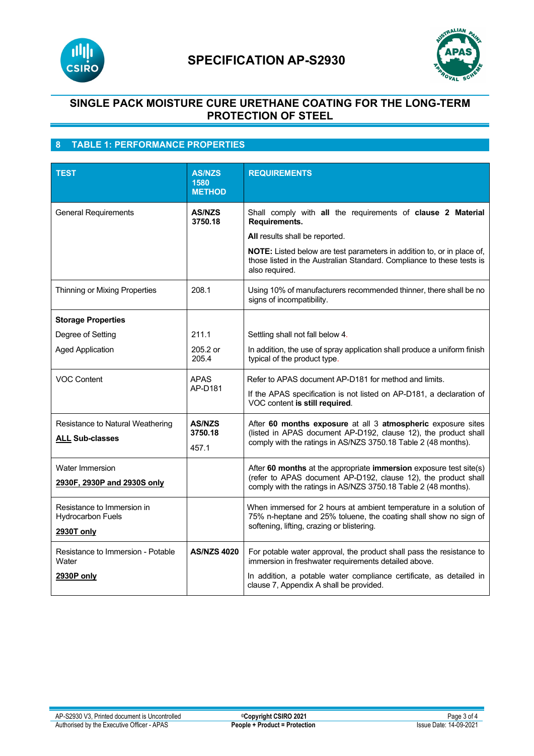



## **SINGLE PACK MOISTURE CURE URETHANE COATING FOR THE LONG-TERM PROTECTION OF STEEL**

## **8 TABLE 1: PERFORMANCE PROPERTIES**

| <b>TEST</b>                                                          | <b>AS/NZS</b><br>1580<br><b>METHOD</b> | <b>REQUIREMENTS</b>                                                                                                                                                                                    |
|----------------------------------------------------------------------|----------------------------------------|--------------------------------------------------------------------------------------------------------------------------------------------------------------------------------------------------------|
| <b>General Requirements</b>                                          | <b>AS/NZS</b><br>3750.18               | Shall comply with all the requirements of clause 2 Material<br>Requirements.<br>All results shall be reported.<br>NOTE: Listed below are test parameters in addition to, or in place of,               |
|                                                                      |                                        | those listed in the Australian Standard. Compliance to these tests is<br>also required.                                                                                                                |
| Thinning or Mixing Properties                                        | 208.1                                  | Using 10% of manufacturers recommended thinner, there shall be no<br>signs of incompatibility.                                                                                                         |
| <b>Storage Properties</b>                                            |                                        |                                                                                                                                                                                                        |
| Degree of Setting                                                    | 211.1                                  | Settling shall not fall below 4.                                                                                                                                                                       |
| <b>Aged Application</b>                                              | 205.2 or<br>205.4                      | In addition, the use of spray application shall produce a uniform finish<br>typical of the product type.                                                                                               |
| <b>VOC Content</b>                                                   | <b>APAS</b><br>AP-D181                 | Refer to APAS document AP-D181 for method and limits.<br>If the APAS specification is not listed on AP-D181, a declaration of<br>VOC content is still required.                                        |
| Resistance to Natural Weathering<br><b>ALL Sub-classes</b>           | <b>AS/NZS</b><br>3750.18<br>457.1      | After 60 months exposure at all 3 atmospheric exposure sites<br>(listed in APAS document AP-D192, clause 12), the product shall<br>comply with the ratings in AS/NZS 3750.18 Table 2 (48 months).      |
| Water Immersion<br>2930F, 2930P and 2930S only                       |                                        | After 60 months at the appropriate immersion exposure test site(s)<br>(refer to APAS document AP-D192, clause 12), the product shall<br>comply with the ratings in AS/NZS 3750.18 Table 2 (48 months). |
| Resistance to Immersion in<br><b>Hydrocarbon Fuels</b><br>2930T only |                                        | When immersed for 2 hours at ambient temperature in a solution of<br>75% n-heptane and 25% toluene, the coating shall show no sign of<br>softening, lifting, crazing or blistering.                    |
| Resistance to Immersion - Potable<br>Water<br>2930P only             | <b>AS/NZS 4020</b>                     | For potable water approval, the product shall pass the resistance to<br>immersion in freshwater requirements detailed above.<br>In addition, a potable water compliance certificate, as detailed in    |
|                                                                      |                                        | clause 7, Appendix A shall be provided.                                                                                                                                                                |